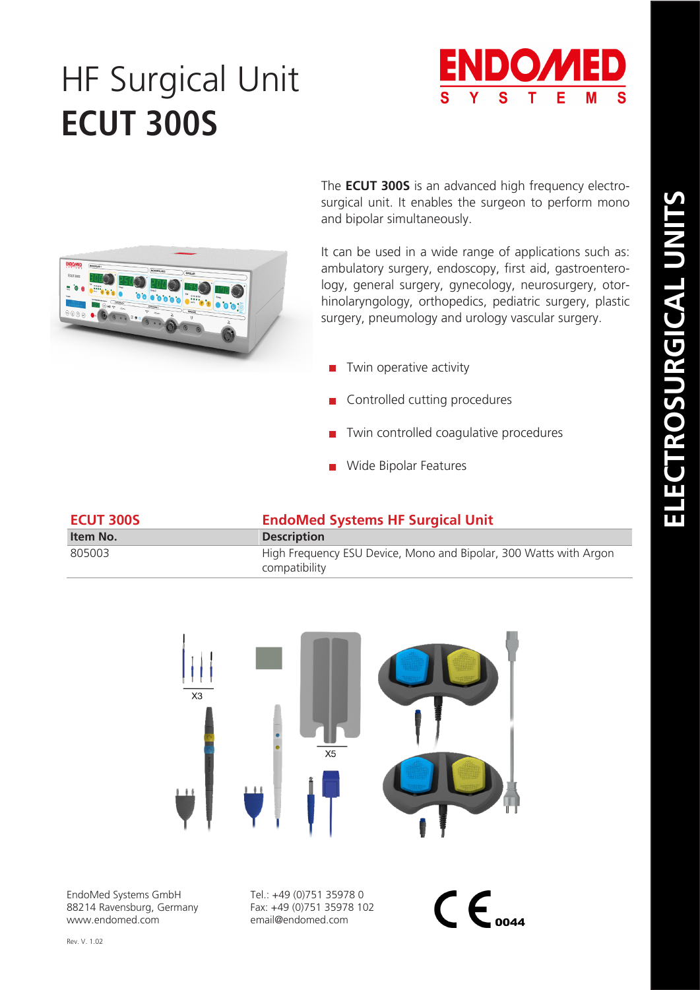# HF Surgical Unit **ECUT 300S**





The **ECUT 300S** is an advanced high frequency electrosurgical unit. It enables the surgeon to perform mono and bipolar simultaneously.

It can be used in a wide range of applications such as: ambulatory surgery, endoscopy, first aid, gastroenterology, general surgery, gynecology, neurosurgery, otorhinolaryngology, orthopedics, pediatric surgery, plastic surgery, pneumology and urology vascular surgery.

- $\blacksquare$  Twin operative activity
- Controlled cutting procedures
- **T** Twin controlled coagulative procedures
- **Nide Bipolar Features**

| <b>ECUT 300S</b> | <b>EndoMed Systems HF Surgical Unit</b>                                            |  |
|------------------|------------------------------------------------------------------------------------|--|
| Item No.         | <b>Description</b>                                                                 |  |
| 805003           | High Frequency ESU Device, Mono and Bipolar, 300 Watts with Argon<br>compatibility |  |



EndoMed Systems GmbH 88214 Ravensburg, Germany www.endomed.com

Tel.: +49 (0)751 35978 0 Fax: +49 (0)751 35978 102 email@endomed.com

 $\mathsf{CE}_{\textit{ooaa}}$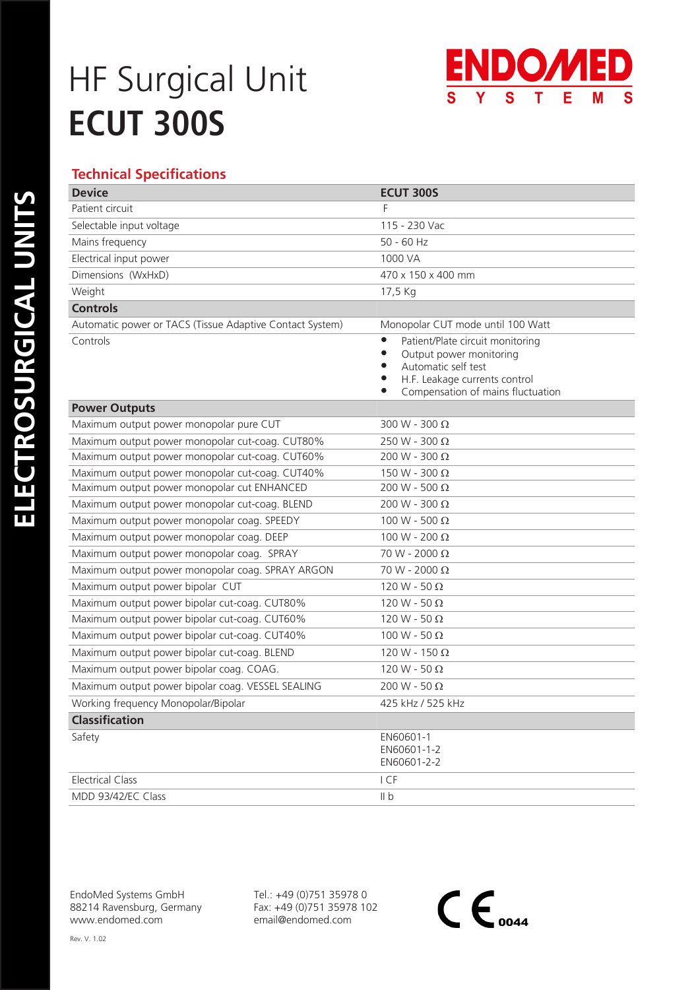## HF Surgical Unit **ECUT 300S**



### **Technical Specifications**

| <b>Device</b>                                            | <b>ECUT 300S</b>                                                                                                                                                                                                          |
|----------------------------------------------------------|---------------------------------------------------------------------------------------------------------------------------------------------------------------------------------------------------------------------------|
| Patient circuit                                          | F                                                                                                                                                                                                                         |
| Selectable input voltage                                 | 115 - 230 Vac                                                                                                                                                                                                             |
| Mains frequency                                          | $50 - 60$ Hz                                                                                                                                                                                                              |
| Electrical input power                                   | 1000 VA                                                                                                                                                                                                                   |
| Dimensions (WxHxD)                                       | 470 x 150 x 400 mm                                                                                                                                                                                                        |
| Weight                                                   | 17,5 Kg                                                                                                                                                                                                                   |
| <b>Controls</b>                                          |                                                                                                                                                                                                                           |
| Automatic power or TACS (Tissue Adaptive Contact System) | Monopolar CUT mode until 100 Watt                                                                                                                                                                                         |
| Controls                                                 | Patient/Plate circuit monitoring<br>$\bullet$<br>Output power monitoring<br>$\bullet$<br>Automatic self test<br>$\bullet$<br>H.F. Leakage currents control<br>$\bullet$<br>Compensation of mains fluctuation<br>$\bullet$ |
| <b>Power Outputs</b>                                     |                                                                                                                                                                                                                           |
| Maximum output power monopolar pure CUT                  | 300 W - 300 $\Omega$                                                                                                                                                                                                      |
| Maximum output power monopolar cut-coag. CUT80%          | 250 W - 300 $\Omega$                                                                                                                                                                                                      |
| Maximum output power monopolar cut-coag. CUT60%          | 200 W - 300 Ω                                                                                                                                                                                                             |
| Maximum output power monopolar cut-coag. CUT40%          | 150 W - 300 $\Omega$                                                                                                                                                                                                      |
| Maximum output power monopolar cut ENHANCED              | 200 W - 500 Ω                                                                                                                                                                                                             |
| Maximum output power monopolar cut-coag. BLEND           | 200 W - 300 $\Omega$                                                                                                                                                                                                      |
| Maximum output power monopolar coag. SPEEDY              | 100 W - 500 Ω                                                                                                                                                                                                             |
| Maximum output power monopolar coag. DEEP                | 100 W - 200 Ω                                                                                                                                                                                                             |
| Maximum output power monopolar coag. SPRAY               | 70 W - 2000 Ω                                                                                                                                                                                                             |
| Maximum output power monopolar coag. SPRAY ARGON         | 70 W - 2000 Ω                                                                                                                                                                                                             |
| Maximum output power bipolar CUT                         | 120 W - 50 $\Omega$                                                                                                                                                                                                       |
| Maximum output power bipolar cut-coag. CUT80%            | 120 W - 50 $\Omega$                                                                                                                                                                                                       |
| Maximum output power bipolar cut-coag. CUT60%            | 120 W - 50 $\Omega$                                                                                                                                                                                                       |
| Maximum output power bipolar cut-coag. CUT40%            | 100 W - 50 $\Omega$                                                                                                                                                                                                       |
| Maximum output power bipolar cut-coag. BLEND             | 120 W - 150 $\Omega$                                                                                                                                                                                                      |
| Maximum output power bipolar coag. COAG.                 | 120 W - 50 $\Omega$                                                                                                                                                                                                       |
| Maximum output power bipolar coag. VESSEL SEALING        | 200 W - 50 $\Omega$                                                                                                                                                                                                       |
| Working frequency Monopolar/Bipolar                      | 425 kHz / 525 kHz                                                                                                                                                                                                         |
| Classification                                           |                                                                                                                                                                                                                           |
| Safety                                                   | EN60601-1<br>EN60601-1-2<br>EN60601-2-2                                                                                                                                                                                   |
| <b>Electrical Class</b>                                  | I CF                                                                                                                                                                                                                      |
| MDD 93/42/EC Class                                       | II b                                                                                                                                                                                                                      |

EndoMed Systems GmbH 88214 Ravensburg, Germany www.endomed.com

Tel.: +49 (0)751 35978 0 Fax: +49 (0)751 35978 102 email@endomed.com

 $C \epsilon_{\scriptscriptstyle ooaa}$